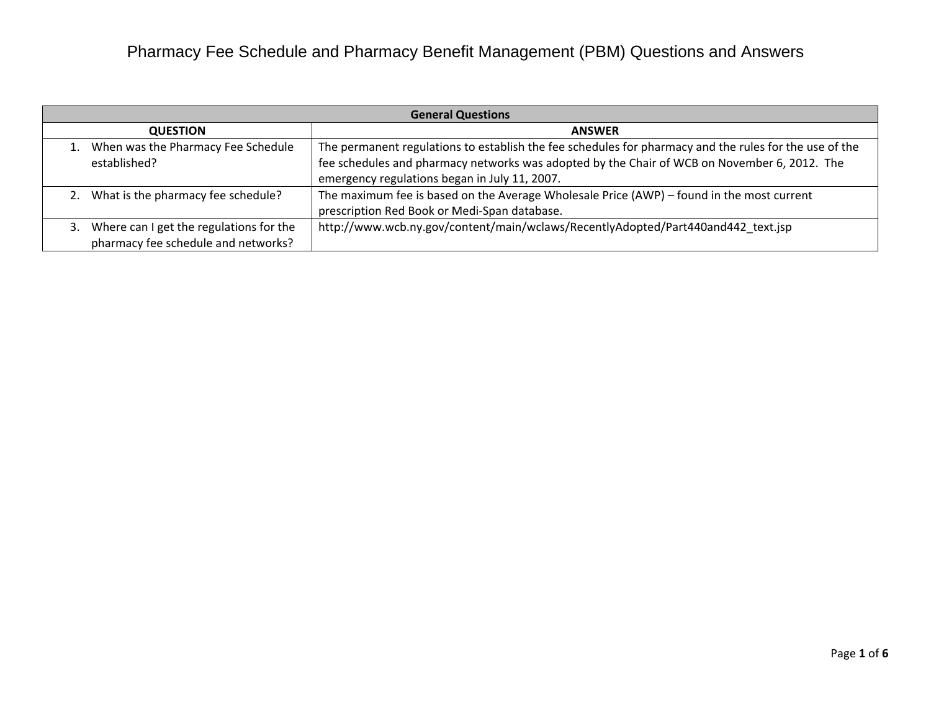| <b>General Questions</b> |                                         |                                                                                                        |
|--------------------------|-----------------------------------------|--------------------------------------------------------------------------------------------------------|
|                          | <b>QUESTION</b>                         | <b>ANSWER</b>                                                                                          |
|                          | When was the Pharmacy Fee Schedule      | The permanent regulations to establish the fee schedules for pharmacy and the rules for the use of the |
|                          | established?                            | fee schedules and pharmacy networks was adopted by the Chair of WCB on November 6, 2012. The           |
|                          |                                         | emergency regulations began in July 11, 2007.                                                          |
|                          | What is the pharmacy fee schedule?      | The maximum fee is based on the Average Wholesale Price (AWP) – found in the most current              |
|                          |                                         | prescription Red Book or Medi-Span database.                                                           |
|                          | Where can I get the regulations for the | http://www.wcb.ny.gov/content/main/wclaws/RecentlyAdopted/Part440and442 text.jsp                       |
|                          | pharmacy fee schedule and networks?     |                                                                                                        |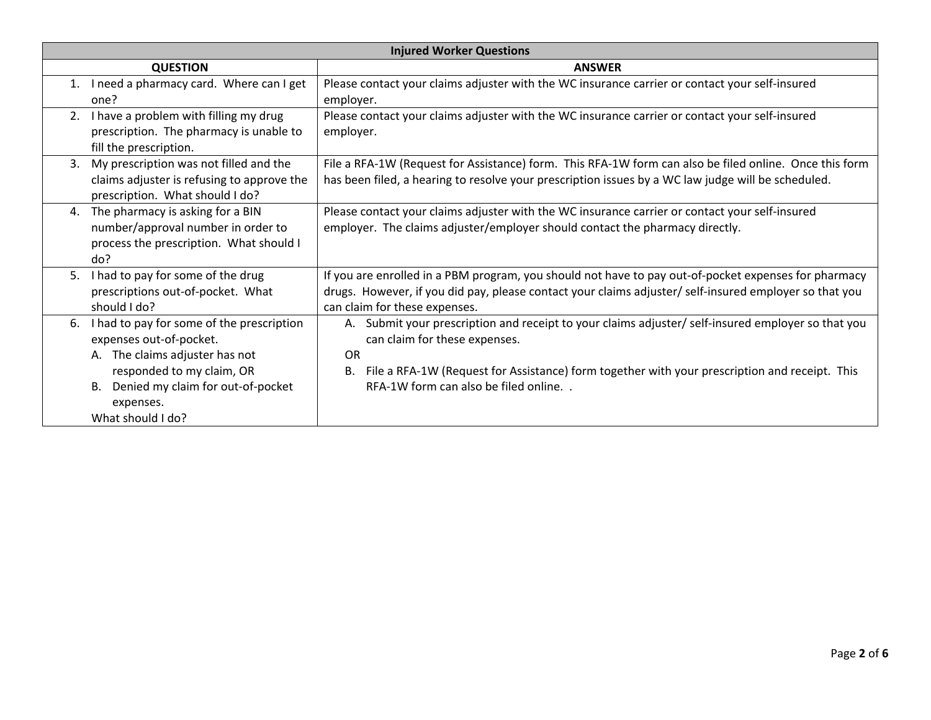| <b>Injured Worker Questions</b>                                                                                                                                                                                               |                                                                                                                                                                                                                                                                                                    |  |
|-------------------------------------------------------------------------------------------------------------------------------------------------------------------------------------------------------------------------------|----------------------------------------------------------------------------------------------------------------------------------------------------------------------------------------------------------------------------------------------------------------------------------------------------|--|
| <b>QUESTION</b>                                                                                                                                                                                                               | <b>ANSWER</b>                                                                                                                                                                                                                                                                                      |  |
| I need a pharmacy card. Where can I get<br>1.<br>one?                                                                                                                                                                         | Please contact your claims adjuster with the WC insurance carrier or contact your self-insured<br>employer.                                                                                                                                                                                        |  |
| I have a problem with filling my drug<br>2.<br>prescription. The pharmacy is unable to<br>fill the prescription.                                                                                                              | Please contact your claims adjuster with the WC insurance carrier or contact your self-insured<br>employer.                                                                                                                                                                                        |  |
| My prescription was not filled and the<br>$\mathbf{3}$ .<br>claims adjuster is refusing to approve the<br>prescription. What should I do?                                                                                     | File a RFA-1W (Request for Assistance) form. This RFA-1W form can also be filed online. Once this form<br>has been filed, a hearing to resolve your prescription issues by a WC law judge will be scheduled.                                                                                       |  |
| The pharmacy is asking for a BIN<br>4.<br>number/approval number in order to<br>process the prescription. What should I<br>do?                                                                                                | Please contact your claims adjuster with the WC insurance carrier or contact your self-insured<br>employer. The claims adjuster/employer should contact the pharmacy directly.                                                                                                                     |  |
| I had to pay for some of the drug<br>5.<br>prescriptions out-of-pocket. What<br>should I do?                                                                                                                                  | If you are enrolled in a PBM program, you should not have to pay out-of-pocket expenses for pharmacy<br>drugs. However, if you did pay, please contact your claims adjuster/ self-insured employer so that you<br>can claim for these expenses.                                                    |  |
| I had to pay for some of the prescription<br>6.<br>expenses out-of-pocket.<br>A. The claims adjuster has not<br>responded to my claim, OR<br>Denied my claim for out-of-pocket<br><b>B.</b><br>expenses.<br>What should I do? | A. Submit your prescription and receipt to your claims adjuster/ self-insured employer so that you<br>can claim for these expenses.<br><b>OR</b><br>File a RFA-1W (Request for Assistance) form together with your prescription and receipt. This<br>В.<br>RFA-1W form can also be filed online. . |  |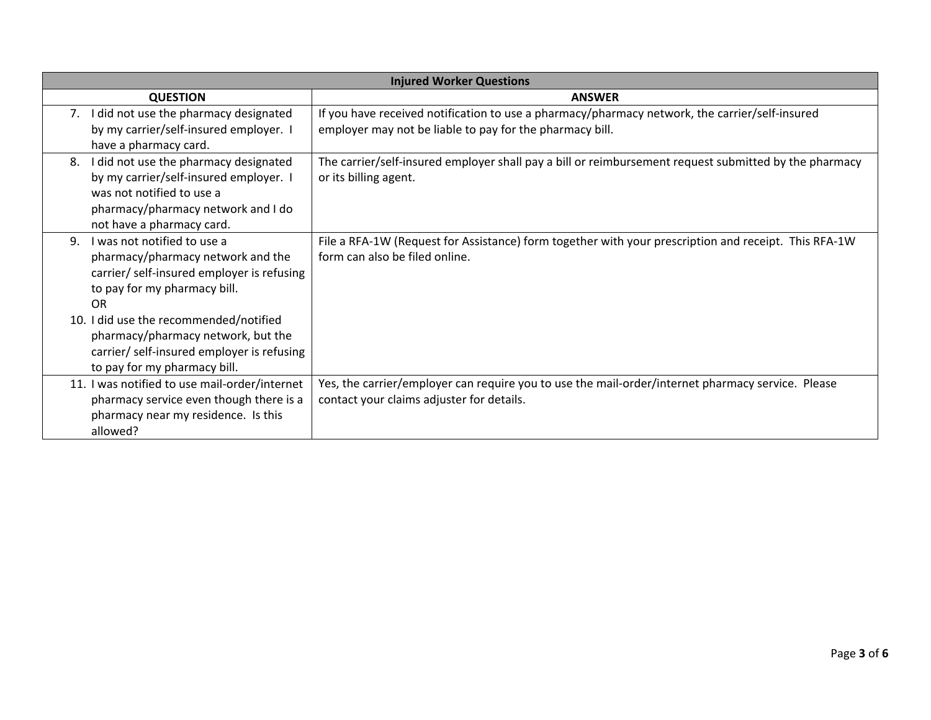| <b>Injured Worker Questions</b>                                                                                                                                                                                                                                                                                          |                                                                                                                                                            |  |
|--------------------------------------------------------------------------------------------------------------------------------------------------------------------------------------------------------------------------------------------------------------------------------------------------------------------------|------------------------------------------------------------------------------------------------------------------------------------------------------------|--|
| <b>QUESTION</b>                                                                                                                                                                                                                                                                                                          | <b>ANSWER</b>                                                                                                                                              |  |
| 7. I did not use the pharmacy designated<br>by my carrier/self-insured employer. I<br>have a pharmacy card.                                                                                                                                                                                                              | If you have received notification to use a pharmacy/pharmacy network, the carrier/self-insured<br>employer may not be liable to pay for the pharmacy bill. |  |
| I did not use the pharmacy designated<br>8.<br>by my carrier/self-insured employer. I<br>was not notified to use a<br>pharmacy/pharmacy network and I do<br>not have a pharmacy card.                                                                                                                                    | The carrier/self-insured employer shall pay a bill or reimbursement request submitted by the pharmacy<br>or its billing agent.                             |  |
| I was not notified to use a<br>9.<br>pharmacy/pharmacy network and the<br>carrier/ self-insured employer is refusing<br>to pay for my pharmacy bill.<br>OR<br>10. I did use the recommended/notified<br>pharmacy/pharmacy network, but the<br>carrier/ self-insured employer is refusing<br>to pay for my pharmacy bill. | File a RFA-1W (Request for Assistance) form together with your prescription and receipt. This RFA-1W<br>form can also be filed online.                     |  |
| 11. I was notified to use mail-order/internet<br>pharmacy service even though there is a<br>pharmacy near my residence. Is this<br>allowed?                                                                                                                                                                              | Yes, the carrier/employer can require you to use the mail-order/internet pharmacy service. Please<br>contact your claims adjuster for details.             |  |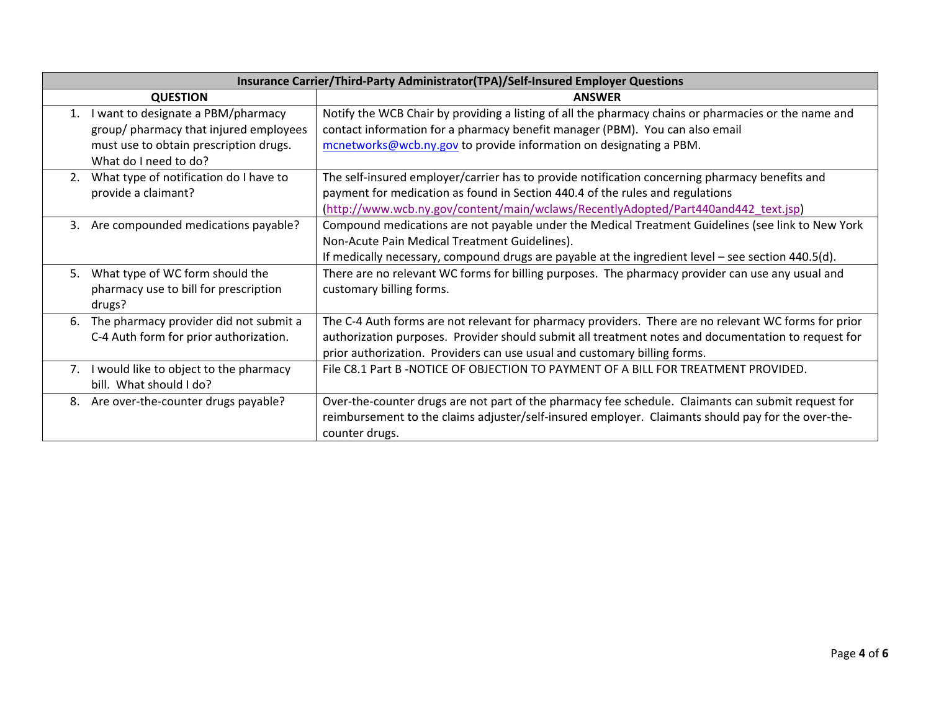| Insurance Carrier/Third-Party Administrator(TPA)/Self-Insured Employer Questions                                                                                  |                                                                                                                                                                                                                                                                                          |  |
|-------------------------------------------------------------------------------------------------------------------------------------------------------------------|------------------------------------------------------------------------------------------------------------------------------------------------------------------------------------------------------------------------------------------------------------------------------------------|--|
| <b>QUESTION</b>                                                                                                                                                   | <b>ANSWER</b>                                                                                                                                                                                                                                                                            |  |
| I want to designate a PBM/pharmacy<br>$\mathbf{1}$ .<br>group/ pharmacy that injured employees<br>must use to obtain prescription drugs.<br>What do I need to do? | Notify the WCB Chair by providing a listing of all the pharmacy chains or pharmacies or the name and<br>contact information for a pharmacy benefit manager (PBM). You can also email<br>mcnetworks@wcb.ny.gov to provide information on designating a PBM.                               |  |
| What type of notification do I have to<br>2.<br>provide a claimant?                                                                                               | The self-insured employer/carrier has to provide notification concerning pharmacy benefits and<br>payment for medication as found in Section 440.4 of the rules and regulations<br>(http://www.wcb.ny.gov/content/main/wclaws/RecentlyAdopted/Part440and442_text.jsp)                    |  |
| Are compounded medications payable?<br>3.                                                                                                                         | Compound medications are not payable under the Medical Treatment Guidelines (see link to New York<br>Non-Acute Pain Medical Treatment Guidelines).<br>If medically necessary, compound drugs are payable at the ingredient level – see section $440.5(d)$ .                              |  |
| What type of WC form should the<br>5.<br>pharmacy use to bill for prescription<br>drugs?                                                                          | There are no relevant WC forms for billing purposes. The pharmacy provider can use any usual and<br>customary billing forms.                                                                                                                                                             |  |
| The pharmacy provider did not submit a<br>6.<br>C-4 Auth form for prior authorization.                                                                            | The C-4 Auth forms are not relevant for pharmacy providers. There are no relevant WC forms for prior<br>authorization purposes. Provider should submit all treatment notes and documentation to request for<br>prior authorization. Providers can use usual and customary billing forms. |  |
| I would like to object to the pharmacy<br>7.<br>bill. What should I do?                                                                                           | File C8.1 Part B-NOTICE OF OBJECTION TO PAYMENT OF A BILL FOR TREATMENT PROVIDED.                                                                                                                                                                                                        |  |
| Are over-the-counter drugs payable?<br>8.                                                                                                                         | Over-the-counter drugs are not part of the pharmacy fee schedule. Claimants can submit request for<br>reimbursement to the claims adjuster/self-insured employer. Claimants should pay for the over-the-<br>counter drugs.                                                               |  |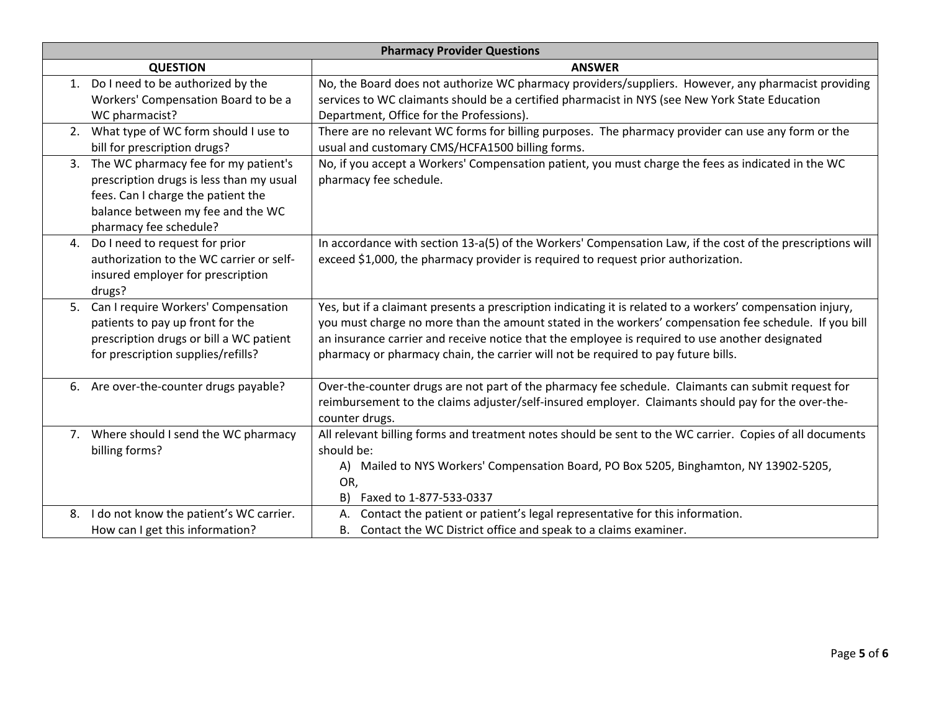| <b>Pharmacy Provider Questions</b>                                                                                                                                                          |                                                                                                                                                                                                                                                                                                                                                                                                             |  |
|---------------------------------------------------------------------------------------------------------------------------------------------------------------------------------------------|-------------------------------------------------------------------------------------------------------------------------------------------------------------------------------------------------------------------------------------------------------------------------------------------------------------------------------------------------------------------------------------------------------------|--|
| <b>QUESTION</b>                                                                                                                                                                             | <b>ANSWER</b>                                                                                                                                                                                                                                                                                                                                                                                               |  |
| Do I need to be authorized by the<br>1.<br>Workers' Compensation Board to be a<br>WC pharmacist?                                                                                            | No, the Board does not authorize WC pharmacy providers/suppliers. However, any pharmacist providing<br>services to WC claimants should be a certified pharmacist in NYS (see New York State Education<br>Department, Office for the Professions).                                                                                                                                                           |  |
| What type of WC form should I use to<br>2.<br>bill for prescription drugs?                                                                                                                  | There are no relevant WC forms for billing purposes. The pharmacy provider can use any form or the<br>usual and customary CMS/HCFA1500 billing forms.                                                                                                                                                                                                                                                       |  |
| The WC pharmacy fee for my patient's<br>3.<br>prescription drugs is less than my usual<br>fees. Can I charge the patient the<br>balance between my fee and the WC<br>pharmacy fee schedule? | No, if you accept a Workers' Compensation patient, you must charge the fees as indicated in the WC<br>pharmacy fee schedule.                                                                                                                                                                                                                                                                                |  |
| Do I need to request for prior<br>4.<br>authorization to the WC carrier or self-<br>insured employer for prescription<br>drugs?                                                             | In accordance with section 13-a(5) of the Workers' Compensation Law, if the cost of the prescriptions will<br>exceed \$1,000, the pharmacy provider is required to request prior authorization.                                                                                                                                                                                                             |  |
| Can I require Workers' Compensation<br>5.<br>patients to pay up front for the<br>prescription drugs or bill a WC patient<br>for prescription supplies/refills?                              | Yes, but if a claimant presents a prescription indicating it is related to a workers' compensation injury,<br>you must charge no more than the amount stated in the workers' compensation fee schedule. If you bill<br>an insurance carrier and receive notice that the employee is required to use another designated<br>pharmacy or pharmacy chain, the carrier will not be required to pay future bills. |  |
| 6. Are over-the-counter drugs payable?                                                                                                                                                      | Over-the-counter drugs are not part of the pharmacy fee schedule. Claimants can submit request for<br>reimbursement to the claims adjuster/self-insured employer. Claimants should pay for the over-the-<br>counter drugs.                                                                                                                                                                                  |  |
| Where should I send the WC pharmacy<br>7.<br>billing forms?                                                                                                                                 | All relevant billing forms and treatment notes should be sent to the WC carrier. Copies of all documents<br>should be:<br>A) Mailed to NYS Workers' Compensation Board, PO Box 5205, Binghamton, NY 13902-5205,<br>OR,<br>Faxed to 1-877-533-0337<br>B)                                                                                                                                                     |  |
| I do not know the patient's WC carrier.<br>8.<br>How can I get this information?                                                                                                            | Contact the patient or patient's legal representative for this information.<br>А.<br>B. Contact the WC District office and speak to a claims examiner.                                                                                                                                                                                                                                                      |  |